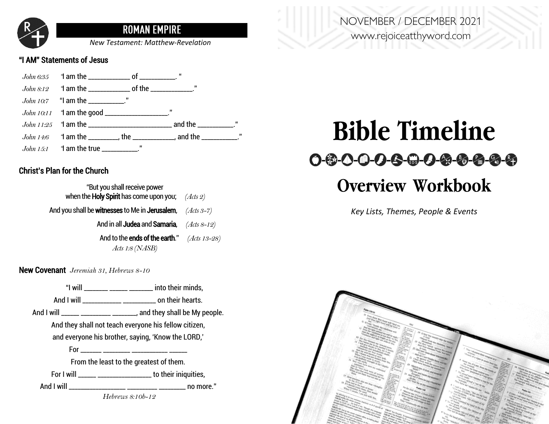

### **ROMAN EMPIRE**

*New Testament: Matthew-Revelation*

#### "I AM" Statements of Jesus



#### Christ's Plan for the Church

 "But you shall receive power when the Holy Spirit has come upon you; *(Acts 2)*  And you shall bewitnesses to Me in Jerusalem, *(Acts 3-7)* And in all Judea and Samaria, *(Acts 8-12)* And to the ends of the earth." *(Acts 13-28) Acts 1:8 (NASB)*

New Covenant *Jeremiah 31, Hebrews 8-10*

"I will \_\_\_\_\_\_\_\_ \_\_\_\_\_\_ \_\_\_\_\_\_\_\_ into their minds, And I will \_\_\_\_\_\_\_\_\_\_\_\_\_ \_\_\_\_\_\_\_\_\_\_\_ on their hearts. And I will \_\_\_\_\_ \_\_\_\_\_\_\_\_\_ \_\_\_\_\_\_\_, and they shall be My people. And they shall not teach everyone his fellow citizen, and everyone his brother, saying, 'Know the LORD,' For \_\_\_\_\_\_\_ \_\_\_\_\_\_\_\_\_ \_\_\_\_\_\_\_\_\_\_\_\_ \_\_\_\_\_\_ From the least to the greatest of them. For I will \_\_\_\_\_\_ \_\_\_\_\_\_\_\_\_\_\_\_\_\_\_\_\_\_ to their iniquities, And I will \_\_\_\_\_\_\_\_\_\_\_\_\_\_\_\_\_\_\_ \_\_\_\_\_\_\_\_\_\_ \_\_\_\_\_\_\_\_\_ no more." *Hebrews 8:10b-12*

## NOVEMBER / DECEMBER 2021 www.rejoiceatthyword.com

# **Bible Timeline** 0-0-0-0-0-0-0-0-0-0-0-0-0

## **Overview Workbook**

*Key Lists, Themes, People & Events*

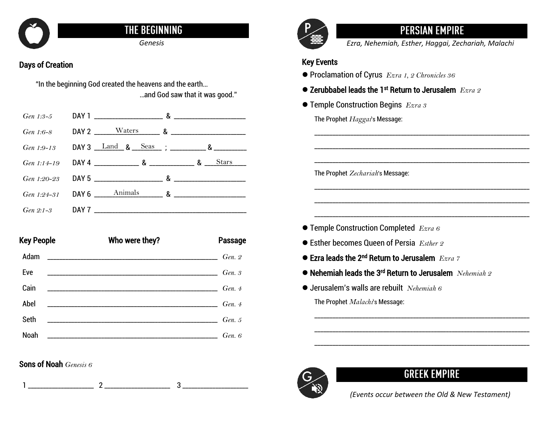

## **THE BEGINNING**

### Days of Creation

 "In the beginning God created the heavens and the earth… …and God saw that it was good."

|  | Gen 1:24-31 DAY 6 Animals $\&$ |  |
|--|--------------------------------|--|
|  |                                |  |

| <b>Key People</b> | Who were they? | <b>Passage</b>                               |
|-------------------|----------------|----------------------------------------------|
| Adam              |                | Gen. 2                                       |
| Eve               |                | Gen.3<br><u> 1999 - Johann Barbara, mart</u> |
| Cain              |                | Gen. 4                                       |
| Abel              |                | Gen. 4                                       |
| Seth              |                | Gen. 5                                       |
| Noah              |                | Gen. 6                                       |

#### Sons of Noah *Genesis 6*

1 \_\_\_\_\_\_\_\_\_\_\_\_\_\_\_\_\_\_\_\_\_\_ 2 \_\_\_\_\_\_\_\_\_\_\_\_\_\_\_\_\_\_\_\_\_\_ 3 \_\_\_\_\_\_\_\_\_\_\_\_\_\_\_\_\_\_\_\_\_\_

## **PERSIAN EMPIRE**

*Genesis Ezra, Nehemiah, Esther, Haggai, Zechariah, Malachi*

\_\_\_\_\_\_\_\_\_\_\_\_\_\_\_\_\_\_\_\_\_\_\_\_\_\_\_\_\_\_\_\_\_\_\_\_\_\_\_\_\_\_\_\_\_\_\_\_\_\_\_\_\_\_\_\_\_\_\_\_\_\_\_\_\_\_\_\_\_\_\_\_ \_\_\_\_\_\_\_\_\_\_\_\_\_\_\_\_\_\_\_\_\_\_\_\_\_\_\_\_\_\_\_\_\_\_\_\_\_\_\_\_\_\_\_\_\_\_\_\_\_\_\_\_\_\_\_\_\_\_\_\_\_\_\_\_\_\_\_\_\_\_\_\_ \_\_\_\_\_\_\_\_\_\_\_\_\_\_\_\_\_\_\_\_\_\_\_\_\_\_\_\_\_\_\_\_\_\_\_\_\_\_\_\_\_\_\_\_\_\_\_\_\_\_\_\_\_\_\_\_\_\_\_\_\_\_\_\_\_\_\_\_\_\_\_\_

\_\_\_\_\_\_\_\_\_\_\_\_\_\_\_\_\_\_\_\_\_\_\_\_\_\_\_\_\_\_\_\_\_\_\_\_\_\_\_\_\_\_\_\_\_\_\_\_\_\_\_\_\_\_\_\_\_\_\_\_\_\_\_\_\_\_\_\_\_\_\_\_ \_\_\_\_\_\_\_\_\_\_\_\_\_\_\_\_\_\_\_\_\_\_\_\_\_\_\_\_\_\_\_\_\_\_\_\_\_\_\_\_\_\_\_\_\_\_\_\_\_\_\_\_\_\_\_\_\_\_\_\_\_\_\_\_\_\_\_\_\_\_\_\_ \_\_\_\_\_\_\_\_\_\_\_\_\_\_\_\_\_\_\_\_\_\_\_\_\_\_\_\_\_\_\_\_\_\_\_\_\_\_\_\_\_\_\_\_\_\_\_\_\_\_\_\_\_\_\_\_\_\_\_\_\_\_\_\_\_\_\_\_\_\_\_\_

#### Key Events

- ⚫ Proclamation of Cyrus *Ezra 1, 2 Chronicles 36*
- Zerubbabel leads the 1<sup>st</sup> Return to Jerusalem Ezra 2
- ⚫ Temple Construction Begins *Ezra 3* The Prophet *Haggai*'s Message:

The Prophet *Zechariah*'s Message:

- ⚫ Temple Construction Completed *Ezra 6*
- ⚫ Esther becomes Queen of Persia *Esther 2*
- Ezra leads the 2<sup>nd</sup> Return to Jerusalem *Ezra 7*
- ⚫ Nehemiah leads the 3rd Return to Jerusalem *Nehemiah 2*
- ⚫ Jerusalem's walls are rebuilt *Nehemiah 6* The Prophet *Malachi*'s Message:



## **GREEK EMPIRE**

\_\_\_\_\_\_\_\_\_\_\_\_\_\_\_\_\_\_\_\_\_\_\_\_\_\_\_\_\_\_\_\_\_\_\_\_\_\_\_\_\_\_\_\_\_\_\_\_\_\_\_\_\_\_\_\_\_\_\_\_\_\_\_\_\_\_\_\_\_\_\_\_ \_\_\_\_\_\_\_\_\_\_\_\_\_\_\_\_\_\_\_\_\_\_\_\_\_\_\_\_\_\_\_\_\_\_\_\_\_\_\_\_\_\_\_\_\_\_\_\_\_\_\_\_\_\_\_\_\_\_\_\_\_\_\_\_\_\_\_\_\_\_\_\_ \_\_\_\_\_\_\_\_\_\_\_\_\_\_\_\_\_\_\_\_\_\_\_\_\_\_\_\_\_\_\_\_\_\_\_\_\_\_\_\_\_\_\_\_\_\_\_\_\_\_\_\_\_\_\_\_\_\_\_\_\_\_\_\_\_\_\_\_\_\_\_\_

*(Events occur between the Old & New Testament)*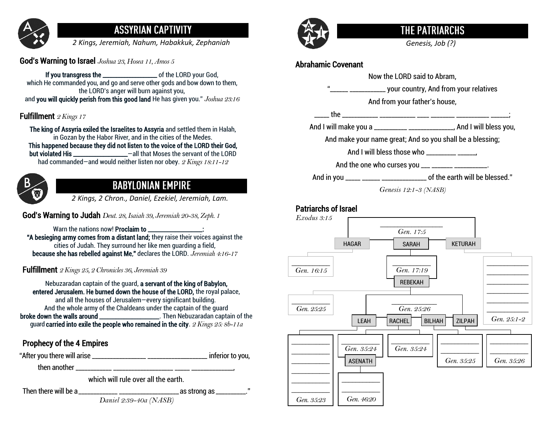

## **ASSYRIAN CAPTIVITY**

*2 Kings, Jeremiah, Nahum, Habakkuk, Zephaniah*

God's Warning to Israel *Joshua 23, Hosea 11, Amos 5*

If you transgress the \_\_\_\_\_\_\_\_\_\_\_\_\_\_\_\_\_\_\_\_ of the LORD your God, which He commanded you, and go and serve other gods and bow down to them, the LORD's anger will burn against you, and you will quickly perish from this good land He has given you." *Joshua 23:16*

#### Fulfillment *2 Kings 17*

The king of Assyria exiled the Israelites to Assyria and settled them in Halah, in Gozan by the Habor River, and in the cities of the Medes.

This happened because they did not listen to the voice of the LORD their God, but violated His \_\_\_\_\_\_\_\_\_\_\_\_\_\_\_\_\_\_\_\_—all that Moses the servant of the LORD had commanded—and would neither listen nor obey. *2 Kings 18:11-12*



## **BABYLONIAN EMPIRE**

*2 Kings, 2 Chron., Daniel, Ezekiel, Jeremiah, Lam.*

God's Warning to Judah *Deut. 28, Isaiah 39, Jeremiah 20-38, Zeph. 1*

Warn the nations now! Proclaim to \_\_\_\_\_\_\_\_\_\_\_\_\_\_\_\_\_

"A besieging army comes from a distant land; they raise their voices against the cities of Judah. They surround her like men guarding a field, because she has rebelled against Me," declares the LORD. *Jeremiah 4:16-17*

Fulfillment *2 Kings 25, 2 Chronicles 36, Jeremiah 39*

Nebuzaradan captain of the guard, a servant of the king of Babylon, entered Jerusalem. He burned down the house of the LORD, the royal palace, and all the houses of Jerusalem—every significant building. And the whole army of the Chaldeans under the captain of the guard broke down the walls around \_\_\_\_\_\_\_\_\_\_\_\_\_\_\_\_\_\_\_\_\_\_. Then Nebuzaradan captain of the guard carried into exile the people who remained in the city. *2 Kings 25: 8b-11a*

## Prophecy of the 4 Empires

"After you there will arise \_\_\_\_\_\_\_\_\_\_\_\_\_\_\_\_\_\_ \_\_\_\_\_\_\_\_\_\_\_\_\_\_\_\_\_\_\_\_ inferior to you,

then another\_\_\_\_\_\_\_\_\_\_\_\_ \_\_\_\_\_\_\_\_\_\_\_\_\_\_\_\_\_\_\_\_ \_\_\_\_\_ \_\_\_\_\_\_\_\_\_\_\_\_\_\_,

which will rule over all the earth.

Then there will be a\_\_\_\_\_\_\_\_\_\_\_\_\_ \_\_\_\_\_\_\_\_\_\_\_\_\_\_\_\_\_\_\_\_ as strong as \_\_\_\_\_\_\_\_\_\_."

*Daniel 2:39-40a (NASB)*



## THE PATRIARCHS

*Genesis, Job (?)*

#### Abrahamic Covenant

Now the LORD said to Abram,

 $\frac{1}{1}$   $\frac{1}{1}$   $\frac{1}{1}$   $\frac{1}{1}$  your country, And from your relatives

And from your father's house,

\_\_\_\_\_ the \_\_\_\_\_\_\_\_\_\_\_\_ \_\_\_\_\_\_\_\_\_\_\_\_ \_\_\_\_ \_\_\_\_\_\_\_\_ \_\_\_\_\_\_\_\_\_\_\_ \_\_\_\_\_\_;

And I will make you a \_\_\_\_\_\_\_\_\_\_ \_\_\_\_\_\_\_\_\_\_\_\_\_\_\_\_. And I will bless vou.

And make your name great; And so you shall be a blessing;

And I will bless those who \_\_\_\_\_\_\_\_\_\_ \_\_\_\_\_\_,

And the one who curses you \_\_\_ \_\_\_\_\_\_\_ \_\_\_\_\_\_\_\_\_

And in you \_\_\_\_\_ \_\_\_\_\_ \_\_\_\_\_\_\_\_\_\_\_\_\_\_\_\_\_\_ of the earth will be blessed."

*Genesis 12:1-3 (NASB)*

## Patriarchs of Israel

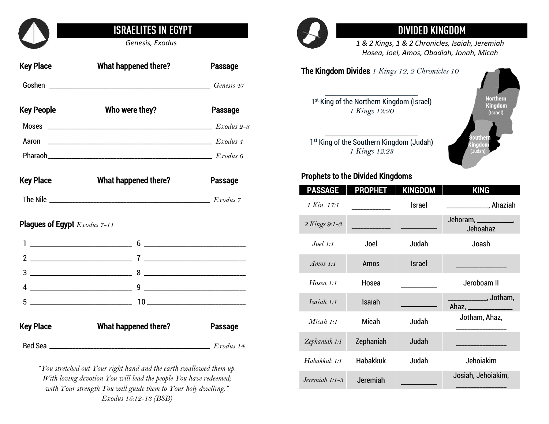## **ISRAELITES IN EGYPT**

| <b>Key Place</b>                    | <b>What happened there?</b> | Passage |
|-------------------------------------|-----------------------------|---------|
|                                     |                             |         |
| Key People                          | Who were they?              | Passage |
|                                     |                             |         |
| Aaron                               | Exodus 4                    |         |
|                                     |                             |         |
| <b>Key Place</b>                    | What happened there?        | Passage |
|                                     |                             |         |
| <b>Plagues of Egypt</b> Exodus 7-11 |                             |         |
|                                     |                             |         |
|                                     |                             |         |
|                                     |                             |         |
|                                     |                             |         |
|                                     |                             |         |
| <b>Key Place</b>                    | <b>What happened there?</b> | Passage |
|                                     |                             |         |

*"You stretched out Your right hand and the earth swallowed them up. With loving devotion You will lead the people You have redeemed; with Your strength You will guide them to Your holy dwelling." Exodus 15:12-13 (BSB)*



## **DIVIDED KINGDOM**

*Genesis, Exodus 1 & 2 Kings, 1 & 2 Chronicles, Isaiah, Jeremiah Hosea, Joel, Amos, Obadiah, Jonah, Micah*

#### The Kingdom Divides *1 Kings 12, 2 Chronicles 10*

\_\_\_\_\_\_\_\_\_\_\_\_\_\_\_\_\_\_\_\_\_\_\_\_\_\_\_\_\_\_\_ 1<sup>st</sup> King of the Northern Kingdom (Israel) *1 Kings 12:20*

1<sup>st</sup> King of the Southern Kingdom (Judah) *1 Kings 12:23*

\_\_\_\_\_\_\_\_\_\_\_\_\_\_\_\_\_\_\_\_\_\_\_\_\_\_\_\_\_\_\_



#### Prophets to the Divided Kingdoms

| <b>PASSAGE</b>   | <b>PROPHET</b>  | <b>KINGDOM</b> | <b>KING</b>                       |
|------------------|-----------------|----------------|-----------------------------------|
| $1$ Kin. $17:1$  |                 | <b>Israel</b>  |                                   |
| 2 Kings 9:1-3    |                 |                | Jehoram, ____________<br>Jehoahaz |
| Joel 1:1         | Joel            | Judah          | Joash                             |
| Amos $1:1$       | Amos            | <b>Israel</b>  |                                   |
| Hosea $1:1$      | Hosea           |                | Jeroboam II                       |
| Isaiah 1:1       | <b>Isaiah</b>   |                | ___________, Jotham,              |
| $Micah$ 1:1      | <b>Micah</b>    | Judah          | Jotham, Ahaz,                     |
| Zephaniah 1:1    | Zephaniah       | Judah          |                                   |
| Habakkuk 1:1     | <b>Habakkuk</b> | Judah          | Jehoiakim                         |
| Jeremiah $1:1-3$ | Jeremiah        |                | Josiah, Jehoiakim,                |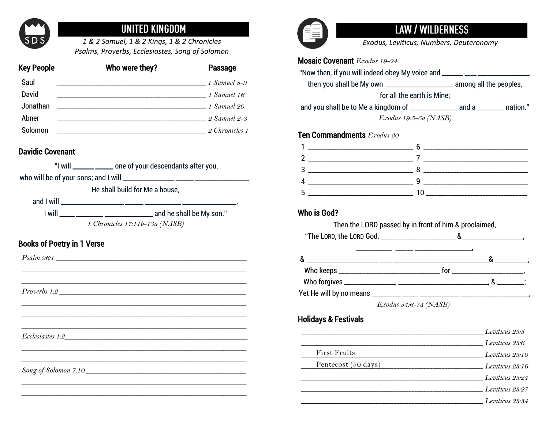

## **UNITED KINGDOM**

1 & 2 Samuel, 1 & 2 Kings, 1 & 2 Chronicles Psalms, Proverbs, Ecclesiastes, Song of Solomon

| <b>Key People</b> | Who were they? | <b>Passage</b> |
|-------------------|----------------|----------------|
| Saul              |                | 1 Samuel 8-9   |
| <b>David</b>      |                | 1 Samuel 16    |
| Jonathan          |                | 1 Samuel 20    |
| Abner             |                | 2 Samuel 2-3   |
| Solomon           |                | 2 Chronicles 1 |

#### **Davidic Covenant**

|                                   | He shall build for Me a house, |
|-----------------------------------|--------------------------------|
|                                   |                                |
|                                   |                                |
|                                   |                                |
| <b>Books of Poetry in 1 Verse</b> | 1 Chronicles 17:11b-13a (NASB) |
|                                   |                                |
|                                   |                                |
|                                   | <i>Proverbs 1:2</i>            |

<u> 1980 - Jan James James Barnett, amerikan bahasa (j. 1918).</u>

Ecclesiastes 1:2



## **LAW / WILDERNESS**

Exodus, Leviticus, Numbers, Deuteronomy

| "Now then, if you will indeed obey My voice and ______ ___ _____________________<br>then you shall be My own _________________________ among all the peoples, |                            |  |
|---------------------------------------------------------------------------------------------------------------------------------------------------------------|----------------------------|--|
|                                                                                                                                                               | for all the earth is Mine; |  |
| and you shall be to Me a kingdom of _______________ and a ________ nation."                                                                                   |                            |  |
|                                                                                                                                                               | Exodus 19:5-6a (NASB)      |  |
| Ten Commandments Exodus 20                                                                                                                                    |                            |  |
|                                                                                                                                                               |                            |  |
|                                                                                                                                                               |                            |  |
|                                                                                                                                                               |                            |  |
|                                                                                                                                                               |                            |  |
|                                                                                                                                                               |                            |  |
| Who is God?<br>Then the LORD passed by in front of him & proclaimed,                                                                                          |                            |  |
|                                                                                                                                                               |                            |  |
|                                                                                                                                                               |                            |  |
|                                                                                                                                                               |                            |  |
|                                                                                                                                                               |                            |  |
|                                                                                                                                                               | Exodus 34:6-7a (NASB)      |  |
| <b>Holidays &amp; Festivals</b>                                                                                                                               |                            |  |
| Levticus 23.5                                                                                                                                                 |                            |  |
|                                                                                                                                                               |                            |  |
| First Fruits                                                                                                                                                  | Leviticus 23:10            |  |
| Pentecost (50 days) Leviticus 23:16                                                                                                                           |                            |  |
|                                                                                                                                                               | Leviticus 23:24            |  |
|                                                                                                                                                               |                            |  |